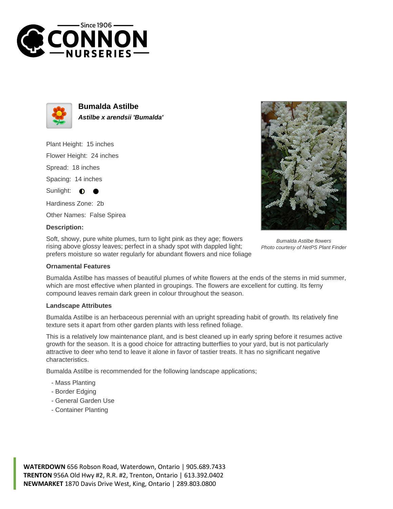



**Bumalda Astilbe Astilbe x arendsii 'Bumalda'**

Plant Height: 15 inches

Flower Height: 24 inches

Spread: 18 inches

Spacing: 14 inches

Sunlight:  $\bullet$ 

Hardiness Zone: 2b

Other Names: False Spirea

## **Description:**

Soft, showy, pure white plumes, turn to light pink as they age; flowers rising above glossy leaves; perfect in a shady spot with dappled light; prefers moisture so water regularly for abundant flowers and nice foliage

Bumalda Astilbe flowers Photo courtesy of NetPS Plant Finder

## **Ornamental Features**

Bumalda Astilbe has masses of beautiful plumes of white flowers at the ends of the stems in mid summer, which are most effective when planted in groupings. The flowers are excellent for cutting. Its ferny compound leaves remain dark green in colour throughout the season.

## **Landscape Attributes**

Bumalda Astilbe is an herbaceous perennial with an upright spreading habit of growth. Its relatively fine texture sets it apart from other garden plants with less refined foliage.

This is a relatively low maintenance plant, and is best cleaned up in early spring before it resumes active growth for the season. It is a good choice for attracting butterflies to your yard, but is not particularly attractive to deer who tend to leave it alone in favor of tastier treats. It has no significant negative characteristics.

Bumalda Astilbe is recommended for the following landscape applications;

- Mass Planting
- Border Edging
- General Garden Use
- Container Planting

**WATERDOWN** 656 Robson Road, Waterdown, Ontario | 905.689.7433 **TRENTON** 956A Old Hwy #2, R.R. #2, Trenton, Ontario | 613.392.0402 **NEWMARKET** 1870 Davis Drive West, King, Ontario | 289.803.0800